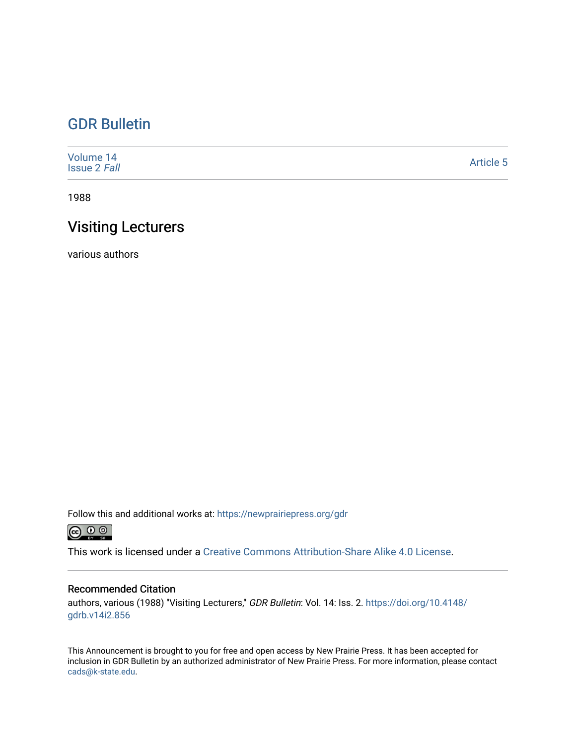## [GDR Bulletin](https://newprairiepress.org/gdr)

| Volume 14<br><b>Issue 2 Fall</b> | Article 5 |
|----------------------------------|-----------|
|----------------------------------|-----------|

1988

# Visiting Lecturers

various authors

Follow this and additional works at: [https://newprairiepress.org/gdr](https://newprairiepress.org/gdr?utm_source=newprairiepress.org%2Fgdr%2Fvol14%2Fiss2%2F5&utm_medium=PDF&utm_campaign=PDFCoverPages) 



This work is licensed under a [Creative Commons Attribution-Share Alike 4.0 License.](https://creativecommons.org/licenses/by-sa/4.0/)

### Recommended Citation

authors, various (1988) "Visiting Lecturers," GDR Bulletin: Vol. 14: Iss. 2. [https://doi.org/10.4148/](https://doi.org/10.4148/gdrb.v14i2.856) [gdrb.v14i2.856](https://doi.org/10.4148/gdrb.v14i2.856)

This Announcement is brought to you for free and open access by New Prairie Press. It has been accepted for inclusion in GDR Bulletin by an authorized administrator of New Prairie Press. For more information, please contact [cads@k-state.edu.](mailto:cads@k-state.edu)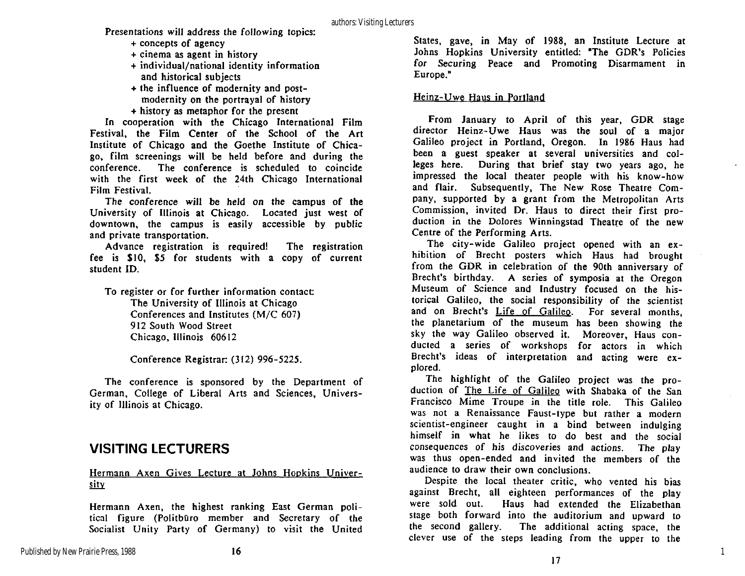Presentations will address the following topics:

- + concepts of agency
- $+$  cinema as agent in history
- + individual/national identity information and historical subjects
- + the influence of modernity and postmodernity on the portrayal of history
- + history as metaphor for the present

In cooperation with the Chicago International Film Festival, the Film Center of the School of the Art Institute of Chicago and the Goethe Institute of Chicago, film screenings will be held before and during the conference. The conference is scheduled to coincide with the first week of the 24th Chicago International Film Festival.

The conference will be held on the campus of the University of Illinois at Chicago. Located just west of downtown, the campus is easily accessible by public and private transportation.

Advance registration is required! The registration fee is  $$10, $5$  for students with a copy of current student ID.

To register or for further information contact: The University of Illinois at Chicago Conferences and Institutes  $(M/C 607)$ 912 South Wood Street Chicago, Illinois 60612

Conference Registrar: (312) 996-5225.

The conference is sponsored by the Department of German, College of Liberal Arts and Sciences, University of Illinois at Chicago.

## **VISITING LECTURERS**

### Hermann Axen Gives Lecture at Johns Hopkins University

Hermann Axen, the highest ranking East German political figure (Politbüro member and Secretary of the Socialist Unity Party of Germany) to visit the United

States, gave, in May of 1988, an Institute Lecture at Johns Hopkins University entitled: "The GDR's Policies for Securing Peace and Promoting Disarmament in Europe."

### Heinz-Uwe Haus in Portland

From January to April of this year, GDR stage director Heinz-Uwe Haus was the soul of a major Galileo project in Portland, Oregon. In 1986 Haus had been a guest speaker at several universities and colleges here. During that brief stay two years ago, he impressed the local theater people with his know-how and flair. Subsequently, The New Rose Theatre Company, supported by a grant from the Metropolitan Arts Commission, invited Dr. Haus to direct their first production in the Dolores Winningstad Theatre of the new Centre of the Performing Arts.

The city-wide Galileo project opened with an exhibition of Brecht posters which Haus had brought from the GDR in celebration of the 90th anniversary of Brecht's birthday. A series of symposia at the Oregon Museum of Science and Industry focused on the historical Galileo, the social responsibility of the scientist and on Brecht's Life of Galileo. For several months, the planetarium of the museum has been showing the sky the way Galileo observed it. Moreover, Haus conducted a series of workshops for actors in which Brecht's ideas of interpretation and acting were explored.

The highlight of the Galileo project was the production of The Life of Galileo with Shabaka of the San Francisco Mime Troupe in the title role. This Galileo was not a Renaissance Faust-type but rather a modern scientist-engineer caught in a bind between indulging himself in what he likes to do best and the social consequences of his discoveries and actions. The play was thus open-ended and invited the members of the audience to draw their own conclusions.

Despite the local theater critic, who vented his bias against Brecht, all eighteen performances of the play were sold out. Haus had extended the Elizabethan stage both forward into the auditorium and upward to the second gallery. The additional acting space, the The additional acting space, the clever use of the steps leading from the upper to the

1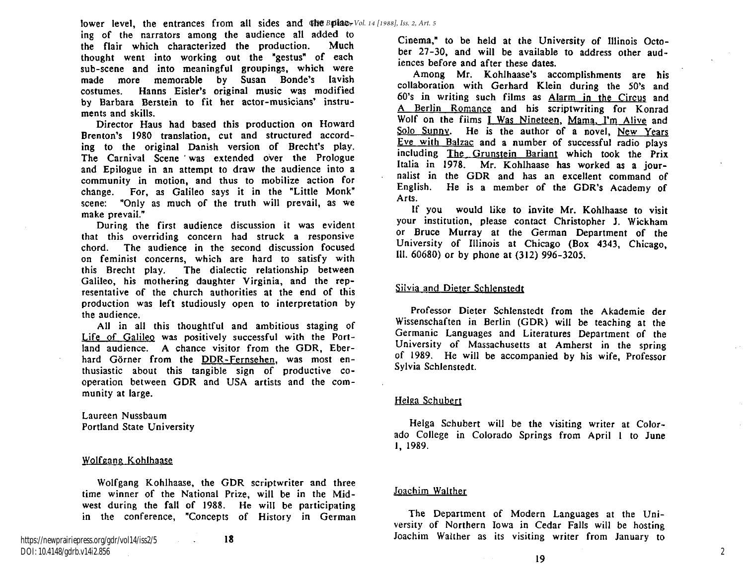ing of the narrators among the audience all added to the flair which characterized the production. Much thought went into working out the "gestus" of each sub-scene and into meaningful groupings, which were made more memorable by Susan Bonde's lavish costumes. Hanns Eisler's original music was modified by Barbara Berstein to fit her actor-musicians' instruments and skills.

Director Haus had based this production on Howard Brenton's 1980 translation, cut and structured according to the original Danish version of Brecht's play. The Carnival Scene was extended over the Prologue and Epilogue in an attempt to draw the audience into a community in motion, and thus to mobilize action for change. For, as Galileo says it in the "Little Monk" scene: "Only as much of the truth will prevail, as we make prevail."

During the first audience discussion it was evident that this overriding concern had struck a responsive chord. The audience in the second discussion focused on feminist concerns, which are hard to satisfy with this Brecht play. The dialectic relationship between Galileo, his mothering daughter Virginia, and the representative of the church authorities at the end of this production was left studiously open to interpretation by the audience .

All in all this thoughtful and ambitious staging of Life of Galileo was positively successful with the Portland audience. A chance visitor from the GDR, Eberhard Görner from the DDR-Fernsehen, was most enthusiastic about this tangible sign of productive cooperation between GDR and USA artists and the community at large.

Laureen Nussbaum Portland State University

#### Wolfgang Kohlhaase

Wolfgang Kohlhaase, the GDR scriptwriter and three time winner of the National Prize, will be in the Midwest during the fall of 1988. He will be participating in the conference, "Concepts of History in German

18

Cinema," to be held at the University of Illinois October  $27-30$ , and will be available to address other audiences before and after these dates.

Among Mr. Kohlhaase's accomplishments are his collaboration with Gerhard Klein during the 50's and 60's in writing such films as Alarm in the Circus and A Berlin Romance and his scriptwriting for Konrad Wolf on the films I Was Nineteen, Mama, I'm Alive and Solo Sunny. He is the author of a novel, New Years Eve with Balzac and a number of successful radio plays including The Grunstein Bariant which took the Prix Italia in 1978. Mr. Kohlhaase has worked as a journalist in the GDR and has an excellent command of English. He is a member of the GDR's Academy of Arts .

If you would like to invite Mr. Kohlhaase to visit your institution, please contact Christopher J. Wickham or Bruce Murray at the German Department of the University of Illinois at Chicago (Box 4343, Chicago, 111. 60680) or by phone at (312) 996-3205.

#### Silvia and Dieter Schlenstedt

Professor Dieter Schlenstedt from the Akademie der Wissenschaften in Berlin (GDR) will be teaching at the Germanic Languages and Literatures Department of the University of Massachusetts at Amherst in the spring of 1989. He will be accompanied by his wife, Professor Sylvia Schlenstedt.

#### Helga Schubert

Helga Schubert will be the visiting writer at Colorado College in Colorado Springs from April 1 to June 1, 1989.

#### Joachim Walther

The Department of Modern Languages at the University of Northern Iowa in Cedar Falls will be hosting Joachim Walther as its visiting writer from January to

19